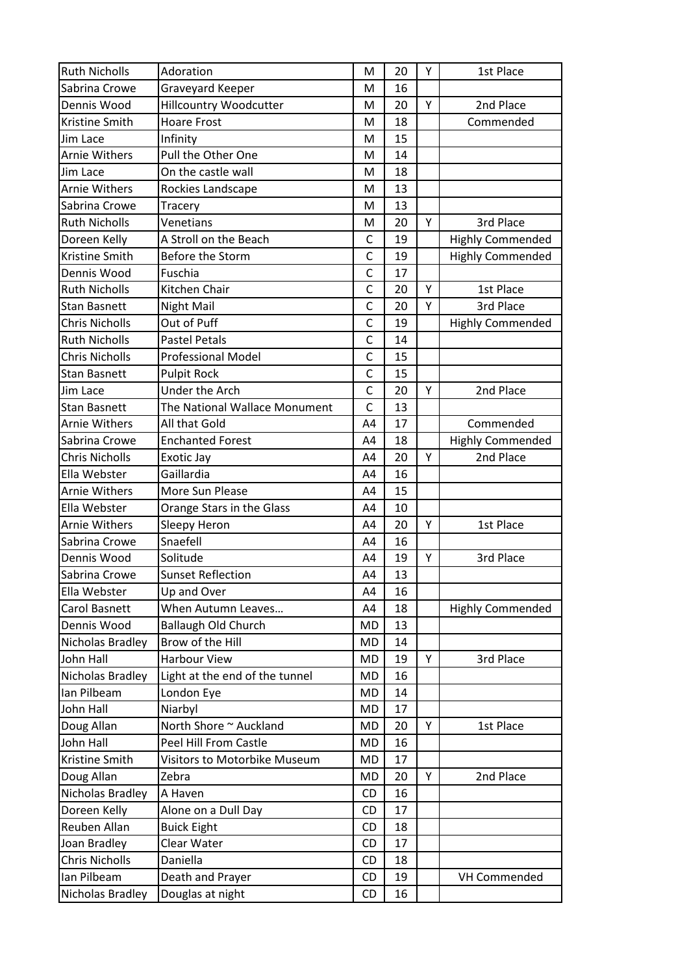| <b>Ruth Nicholls</b>  | Adoration                      | M              | 20 | Y | 1st Place               |  |
|-----------------------|--------------------------------|----------------|----|---|-------------------------|--|
| Sabrina Crowe         | Graveyard Keeper               | M              | 16 |   |                         |  |
| Dennis Wood           | <b>Hillcountry Woodcutter</b>  | M              | 20 | Y | 2nd Place               |  |
| Kristine Smith        | <b>Hoare Frost</b>             | M              | 18 |   | Commended               |  |
| Jim Lace              | Infinity                       | M              | 15 |   |                         |  |
| <b>Arnie Withers</b>  | Pull the Other One             | M              | 14 |   |                         |  |
| Jim Lace              | On the castle wall             | M              | 18 |   |                         |  |
| Arnie Withers         | Rockies Landscape              | M              | 13 |   |                         |  |
| Sabrina Crowe         | Tracery                        | M              | 13 |   |                         |  |
| <b>Ruth Nicholls</b>  | Venetians                      | M              | 20 | Y | 3rd Place               |  |
| Doreen Kelly          | A Stroll on the Beach          | $\mathsf{C}$   | 19 |   | <b>Highly Commended</b> |  |
| Kristine Smith        | Before the Storm               | C              | 19 |   | <b>Highly Commended</b> |  |
| Dennis Wood           | Fuschia                        | C              | 17 |   |                         |  |
| <b>Ruth Nicholls</b>  | Kitchen Chair                  | C              | 20 | Y | 1st Place               |  |
| <b>Stan Basnett</b>   | Night Mail                     | $\mathsf{C}$   | 20 | Υ | 3rd Place               |  |
| <b>Chris Nicholls</b> | Out of Puff                    | $\mathsf{C}$   | 19 |   | <b>Highly Commended</b> |  |
| <b>Ruth Nicholls</b>  | <b>Pastel Petals</b>           | C              | 14 |   |                         |  |
| <b>Chris Nicholls</b> | <b>Professional Model</b>      | $\mathsf{C}$   | 15 |   |                         |  |
| <b>Stan Basnett</b>   | <b>Pulpit Rock</b>             | $\mathsf{C}$   | 15 |   |                         |  |
| Jim Lace              | <b>Under the Arch</b>          | C              | 20 | Y | 2nd Place               |  |
| <b>Stan Basnett</b>   | The National Wallace Monument  | $\mathsf{C}$   | 13 |   |                         |  |
| Arnie Withers         | All that Gold                  | A4             | 17 |   | Commended               |  |
| Sabrina Crowe         | <b>Enchanted Forest</b>        | A4             | 18 |   | <b>Highly Commended</b> |  |
| Chris Nicholls        | Exotic Jay                     | A4             | 20 | Y | 2nd Place               |  |
| Ella Webster          | Gaillardia                     | A4             | 16 |   |                         |  |
| <b>Arnie Withers</b>  | More Sun Please                | A4             | 15 |   |                         |  |
| Ella Webster          | Orange Stars in the Glass      | A4             | 10 |   |                         |  |
| <b>Arnie Withers</b>  | Sleepy Heron                   | A <sub>4</sub> | 20 | Y | 1st Place               |  |
| Sabrina Crowe         | Snaefell                       | A4             | 16 |   |                         |  |
| Dennis Wood           | Solitude                       | A4             | 19 | Υ | 3rd Place               |  |
| Sabrina Crowe         | <b>Sunset Reflection</b>       | A <sub>4</sub> | 13 |   |                         |  |
| Ella Webster          | Up and Over                    | A4             | 16 |   |                         |  |
| Carol Basnett         | When Autumn Leaves             | A4             | 18 |   | <b>Highly Commended</b> |  |
| Dennis Wood           | <b>Ballaugh Old Church</b>     | MD             | 13 |   |                         |  |
| Nicholas Bradley      | Brow of the Hill               | <b>MD</b>      | 14 |   |                         |  |
| John Hall             | Harbour View                   | MD             | 19 | Y | 3rd Place               |  |
| Nicholas Bradley      | Light at the end of the tunnel | MD             | 16 |   |                         |  |
| Ian Pilbeam           | London Eye                     | MD             | 14 |   |                         |  |
| John Hall             | Niarbyl                        | MD             | 17 |   |                         |  |
| Doug Allan            | North Shore ~ Auckland         | MD             | 20 | Y | 1st Place               |  |
| John Hall             | Peel Hill From Castle          | MD             | 16 |   |                         |  |
| Kristine Smith        | Visitors to Motorbike Museum   | MD             | 17 |   |                         |  |
| Doug Allan            | Zebra                          | MD             | 20 | Y | 2nd Place               |  |
| Nicholas Bradley      | A Haven                        | <b>CD</b>      | 16 |   |                         |  |
| Doreen Kelly          | Alone on a Dull Day            | <b>CD</b>      | 17 |   |                         |  |
| Reuben Allan          | <b>Buick Eight</b>             | <b>CD</b>      | 18 |   |                         |  |
| Joan Bradley          | Clear Water                    | CD             | 17 |   |                         |  |
| <b>Chris Nicholls</b> | Daniella                       | <b>CD</b>      | 18 |   |                         |  |
| Ian Pilbeam           | Death and Prayer               | <b>CD</b>      | 19 |   | VH Commended            |  |
| Nicholas Bradley      | Douglas at night               | CD             | 16 |   |                         |  |